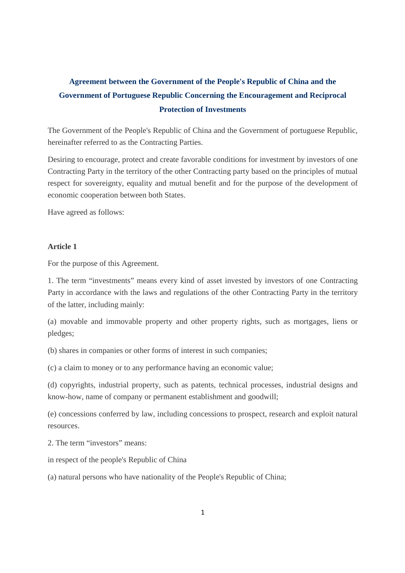# **Agreement between the Government of the People's Republic of China and the Government of Portuguese Republic Concerning the Encouragement and Reciprocal Protection of Investments**

The Government of the People's Republic of China and the Government of portuguese Republic, hereinafter referred to as the Contracting Parties.

Desiring to encourage, protect and create favorable conditions for investment by investors of one Contracting Party in the territory of the other Contracting party based on the principles of mutual respect for sovereignty, equality and mutual benefit and for the purpose of the development of economic cooperation between both States.

Have agreed as follows:

## **Article 1**

For the purpose of this Agreement.

1. The term "investments" means every kind of asset invested by investors of one Contracting Party in accordance with the laws and regulations of the other Contracting Party in the territory of the latter, including mainly:

(a) movable and immovable property and other property rights, such as mortgages, liens or pledges;

(b) shares in companies or other forms of interest in such companies;

(c) a claim to money or to any performance having an economic value;

(d) copyrights, industrial property, such as patents, technical processes, industrial designs and know-how, name of company or permanent establishment and goodwill;

(e) concessions conferred by law, including concessions to prospect, research and exploit natural resources.

2. The term "investors" means:

in respect of the people's Republic of China

(a) natural persons who have nationality of the People's Republic of China;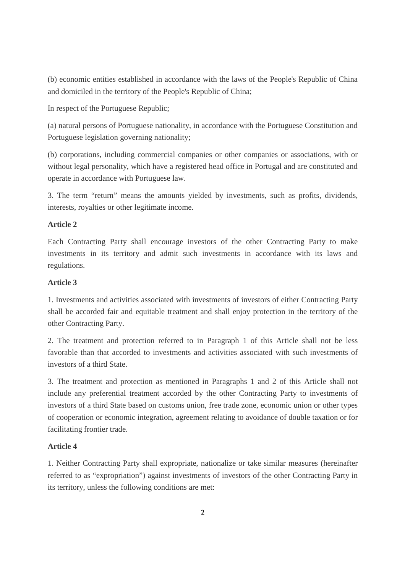(b) economic entities established in accordance with the laws of the People's Republic of China and domiciled in the territory of the People's Republic of China;

In respect of the Portuguese Republic;

(a) natural persons of Portuguese nationality, in accordance with the Portuguese Constitution and Portuguese legislation governing nationality;

(b) corporations, including commercial companies or other companies or associations, with or without legal personality, which have a registered head office in Portugal and are constituted and operate in accordance with Portuguese law.

3. The term "return" means the amounts yielded by investments, such as profits, dividends, interests, royalties or other legitimate income.

# **Article 2**

Each Contracting Party shall encourage investors of the other Contracting Party to make investments in its territory and admit such investments in accordance with its laws and regulations.

# **Article 3**

1. Investments and activities associated with investments of investors of either Contracting Party shall be accorded fair and equitable treatment and shall enjoy protection in the territory of the other Contracting Party.

2. The treatment and protection referred to in Paragraph 1 of this Article shall not be less favorable than that accorded to investments and activities associated with such investments of investors of a third State.

3. The treatment and protection as mentioned in Paragraphs 1 and 2 of this Article shall not include any preferential treatment accorded by the other Contracting Party to investments of investors of a third State based on customs union, free trade zone, economic union or other types of cooperation or economic integration, agreement relating to avoidance of double taxation or for facilitating frontier trade.

# **Article 4**

1. Neither Contracting Party shall expropriate, nationalize or take similar measures (hereinafter referred to as "expropriation") against investments of investors of the other Contracting Party in its territory, unless the following conditions are met: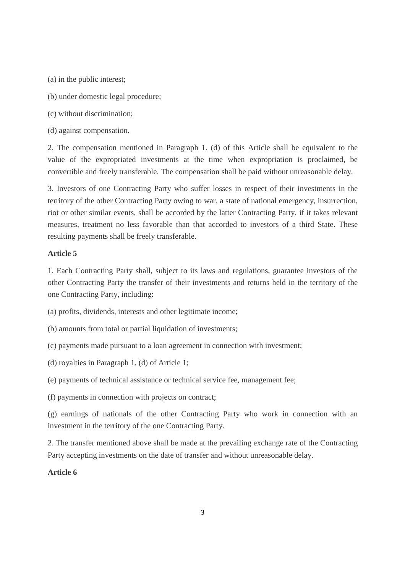(a) in the public interest;

- (b) under domestic legal procedure;
- (c) without discrimination;

(d) against compensation.

2. The compensation mentioned in Paragraph 1. (d) of this Article shall be equivalent to the value of the expropriated investments at the time when expropriation is proclaimed, be convertible and freely transferable. The compensation shall be paid without unreasonable delay.

3. Investors of one Contracting Party who suffer losses in respect of their investments in the territory of the other Contracting Party owing to war, a state of national emergency, insurrection, riot or other similar events, shall be accorded by the latter Contracting Party, if it takes relevant measures, treatment no less favorable than that accorded to investors of a third State. These resulting payments shall be freely transferable.

#### **Article 5**

1. Each Contracting Party shall, subject to its laws and regulations, guarantee investors of the other Contracting Party the transfer of their investments and returns held in the territory of the one Contracting Party, including:

(a) profits, dividends, interests and other legitimate income;

- (b) amounts from total or partial liquidation of investments;
- (c) payments made pursuant to a loan agreement in connection with investment;
- (d) royalties in Paragraph 1, (d) of Article 1;
- (e) payments of technical assistance or technical service fee, management fee;
- (f) payments in connection with projects on contract;

(g) earnings of nationals of the other Contracting Party who work in connection with an investment in the territory of the one Contracting Party.

2. The transfer mentioned above shall be made at the prevailing exchange rate of the Contracting Party accepting investments on the date of transfer and without unreasonable delay.

# **Article 6**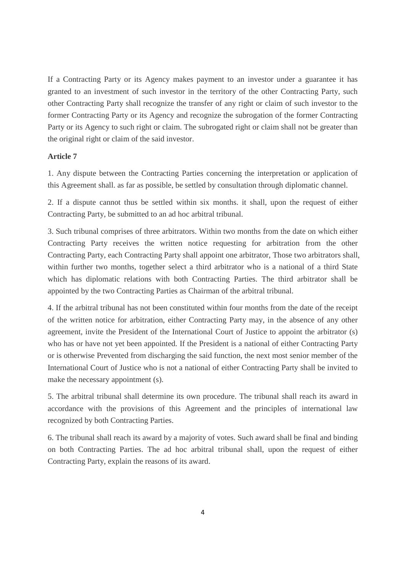If a Contracting Party or its Agency makes payment to an investor under a guarantee it has granted to an investment of such investor in the territory of the other Contracting Party, such other Contracting Party shall recognize the transfer of any right or claim of such investor to the former Contracting Party or its Agency and recognize the subrogation of the former Contracting Party or its Agency to such right or claim. The subrogated right or claim shall not be greater than the original right or claim of the said investor.

#### **Article 7**

1. Any dispute between the Contracting Parties concerning the interpretation or application of this Agreement shall. as far as possible, be settled by consultation through diplomatic channel.

2. If a dispute cannot thus be settled within six months. it shall, upon the request of either Contracting Party, be submitted to an ad hoc arbitral tribunal.

3. Such tribunal comprises of three arbitrators. Within two months from the date on which either Contracting Party receives the written notice requesting for arbitration from the other Contracting Party, each Contracting Party shall appoint one arbitrator, Those two arbitrators shall, within further two months, together select a third arbitrator who is a national of a third State which has diplomatic relations with both Contracting Parties. The third arbitrator shall be appointed by the two Contracting Parties as Chairman of the arbitral tribunal.

4. If the arbitral tribunal has not been constituted within four months from the date of the receipt of the written notice for arbitration, either Contracting Party may, in the absence of any other agreement, invite the President of the International Court of Justice to appoint the arbitrator (s) who has or have not yet been appointed. If the President is a national of either Contracting Party or is otherwise Prevented from discharging the said function, the next most senior member of the International Court of Justice who is not a national of either Contracting Party shall be invited to make the necessary appointment (s).

5. The arbitral tribunal shall determine its own procedure. The tribunal shall reach its award in accordance with the provisions of this Agreement and the principles of international law recognized by both Contracting Parties.

6. The tribunal shall reach its award by a majority of votes. Such award shall be final and binding on both Contracting Parties. The ad hoc arbitral tribunal shall, upon the request of either Contracting Party, explain the reasons of its award.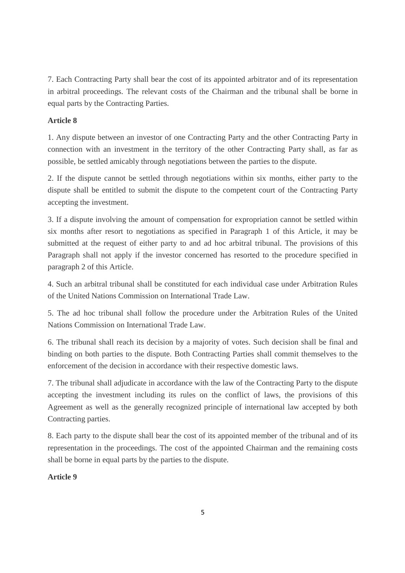7. Each Contracting Party shall bear the cost of its appointed arbitrator and of its representation in arbitral proceedings. The relevant costs of the Chairman and the tribunal shall be borne in equal parts by the Contracting Parties.

# **Article 8**

1. Any dispute between an investor of one Contracting Party and the other Contracting Party in connection with an investment in the territory of the other Contracting Party shall, as far as possible, be settled amicably through negotiations between the parties to the dispute.

2. If the dispute cannot be settled through negotiations within six months, either party to the dispute shall be entitled to submit the dispute to the competent court of the Contracting Party accepting the investment.

3. If a dispute involving the amount of compensation for expropriation cannot be settled within six months after resort to negotiations as specified in Paragraph 1 of this Article, it may be submitted at the request of either party to and ad hoc arbitral tribunal. The provisions of this Paragraph shall not apply if the investor concerned has resorted to the procedure specified in paragraph 2 of this Article.

4. Such an arbitral tribunal shall be constituted for each individual case under Arbitration Rules of the United Nations Commission on International Trade Law.

5. The ad hoc tribunal shall follow the procedure under the Arbitration Rules of the United Nations Commission on International Trade Law.

6. The tribunal shall reach its decision by a majority of votes. Such decision shall be final and binding on both parties to the dispute. Both Contracting Parties shall commit themselves to the enforcement of the decision in accordance with their respective domestic laws.

7. The tribunal shall adjudicate in accordance with the law of the Contracting Party to the dispute accepting the investment including its rules on the conflict of laws, the provisions of this Agreement as well as the generally recognized principle of international law accepted by both Contracting parties.

8. Each party to the dispute shall bear the cost of its appointed member of the tribunal and of its representation in the proceedings. The cost of the appointed Chairman and the remaining costs shall be borne in equal parts by the parties to the dispute.

## **Article 9**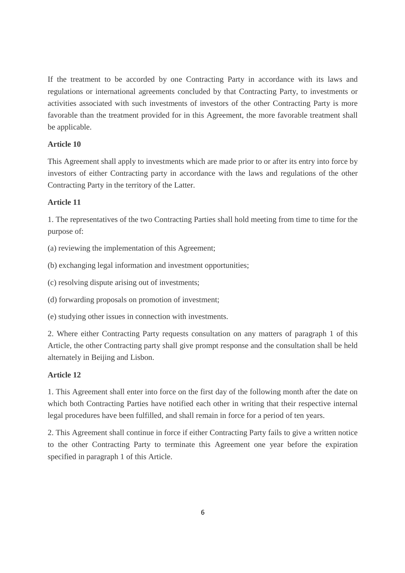If the treatment to be accorded by one Contracting Party in accordance with its laws and regulations or international agreements concluded by that Contracting Party, to investments or activities associated with such investments of investors of the other Contracting Party is more favorable than the treatment provided for in this Agreement, the more favorable treatment shall be applicable.

# **Article 10**

This Agreement shall apply to investments which are made prior to or after its entry into force by investors of either Contracting party in accordance with the laws and regulations of the other Contracting Party in the territory of the Latter.

# **Article 11**

1. The representatives of the two Contracting Parties shall hold meeting from time to time for the purpose of:

(a) reviewing the implementation of this Agreement;

(b) exchanging legal information and investment opportunities;

(c) resolving dispute arising out of investments;

(d) forwarding proposals on promotion of investment;

(e) studying other issues in connection with investments.

2. Where either Contracting Party requests consultation on any matters of paragraph 1 of this Article, the other Contracting party shall give prompt response and the consultation shall be held alternately in Beijing and Lisbon.

## **Article 12**

1. This Agreement shall enter into force on the first day of the following month after the date on which both Contracting Parties have notified each other in writing that their respective internal legal procedures have been fulfilled, and shall remain in force for a period of ten years.

2. This Agreement shall continue in force if either Contracting Party fails to give a written notice to the other Contracting Party to terminate this Agreement one year before the expiration specified in paragraph 1 of this Article.